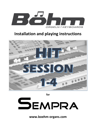

# **Installation and playing instructions**



**for**

# SEMPRA

**www.boehm-organs.com**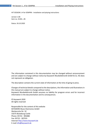HIT SESSION 1-4 for SEMPRA - Installation and playing instructions

version 1.00 Item no. 41281...85

Status: 26.10.2020

The information contained in this documentation may be changed without announcement and are subject to change without notice by Keyswerk Musikelektronik GmbH & Co. KG does not represent an obligation.

The description contains the current state of information at the time of going to press.

Changes of technical details compared to the descriptions, the information and illustrations in this manual are subject to change without notice.

Keyswerk Musikelektronik GmbH assumes no liability for program errors and for incorrect information in the documentation and its consequences.

© Keyswerk 2020 All rights reserved

Responsible for the content of this website KEYSWERK Music Electronics GmbH Warbersche Str. 32 31675 Bückeburg Castle Phone: 05722 - 905088 Fax: 05722 - 287555 Internet http://www.keyswerk.de E-mail info@keyswerk.de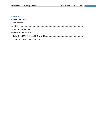#### **Content**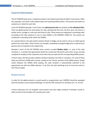#### <span id="page-3-0"></span>**General information**

The HIT SESSION style series, created by producer Jens Daniel exclusively for Böhm instruments, offers four episodes, each with 4 title-related styles and matching SONG presets. The presets and styles are worked out in detail for each title.

In the HIT SESSION episodes 1 and 2 there are **styles/presets that** are worked out **for individual titles:**  There are global presets for each phase of a title, starting with the intro, the first verse, the chorus, a further verse, a bridge or a solo up to the final of a title. These presets are organised in ascending order according to the title sequence in one or more SONGs in the SEMPRA's SONG list. The presets are numbered in ascending order within the SONGS.

As a special feature, the style pattern buttons Break or Bridge can be used to call up so-called special patterns for some styles. These contain, for example, completely arranged bridge parts or special drum grooves that correspond to the original title.

Episodes 3 and 4 of the HIT SESSON series contain so-called **Medley Styles**, i.e. each of the style variations 1...4 contains the appropriate rhythm for a particular title by the same artist. So you can play complete hit medleys of the respective artist with only one style and the corresponding SONG presets.

In these styles, the fills provide suitable transitions between the titles or variations. For each of these styles you will find a SONG with a preset, usually on the "chorus" position of the SONG presets. Simply switch between the SONGS while playing, the style variation is automatically switched to the appropriate one with the SONG selection. To do this, the style switching must of course be active in the Preset Coupler.

#### <span id="page-3-1"></span>**Requirements**

In order for the global presets to sound exactly as programmed, your SEMPRA should be equipped with the drawbar sound module RealOrgan 2.0 and the DSP extension for Amadeus (art. no. 41115).

If these extensions are not available, some presets may have slight variations if drawbar sounds or effect sounds of the Amadeus (FX sounds) were used.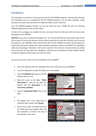#### <span id="page-4-0"></span>**Installation**

The installation is carried out in the same way for all 4 HIT SESSION sequences. We therefore describe the installation here as an example for the HIT SESSION episode 1. For the other episodes, simply proceed in the same way and select the respective folder on your USB stick.

Each HIT SESSION package includes not only the styles but also a SONG file with the matching SONGs/Globalpresets for the included styles.

All data of the packages are installed into the instrument from the USB stick with the factory data belonging to your SEMPRA.

*Attention: If you have received the package as an "arc" file (archive file) by email, please copy this file first on your PC into the top directory of your factory data stick (or any other USB stick, but it must be formatted on your SEMPRA). When inserting the stick into the SEMPRA the system will recognise the archive file and ask you whether the archive should be unpacked. Confirm with ENTER. The installation folder for the package "Entertainer" will now be created on the stick (we recommend that you delete the arc-file from the stick after the installation, otherwise you will always be asked whether the file should be unzipped in future when you insert the stick).* 

You can now continue with the actual installation on the SEMPRA:

- Insert the USB stick with the installation data into a USB socket of your SEMPRA.
- Press the USB button to open the USB menu in the display.
- Tap the **Installation** data type on the left (the box will turn red).
- Move the cursor to the folder "**59181 Hint-Session 1**" (but do not open the folder!) with the **data-wheel** or the **cursor keys up/down.**
- Tap the "**Load/Install Folder**" box on the right.
- 
- •
- The display asks if you really want to install the data. Confirm with **[Enter]**.
- Now first the styles are loaded and then the SONG bank (see display). After that the installation is finished. The data of the package can be used.



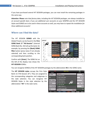If you have purchased several HIT SESSION packages, you can now install the remaining packages in the same way.

*Attention: Please note that factory data, including the HIT SESSION packages, are always installed on an account-specific basis. If you use additional user accounts on your SEMPRA and the HIT SESSION Styles and SONGS are to be used in these accounts as well, you may have to repeat the installation for these additional accounts!* 

#### <span id="page-5-0"></span>**Where can I find the data?**

The HIT SESSION **SONGS** with the Global Presets can be found in the **Firm SONG Bank 17 "Hit-Session"** (internal SONG Bank No. 33) Call up this bank, for example, by pressing the **[Bank] SONG filter** button (press twice if not already selected) and then scrolling to the corresponding bank position.

Confirm with **[Enter]**. The SONG list on the left of the display now shows the **HIT-SESSION** SONGs.



You can recognise SONGS of the HIT SESSION packages by the abbreviation **HS** in the SONG name.

The **HIT SESSION styles** occupy the Firm Style Bank 13 ("Hit-Session JD"). They are assigned to the corresponding categories and subgroups in the style selection. You can recognise HIT SESSION Styles in the style selection by the abbreviation "**HS"** in the style name.

| ∣≪<br>$\overline{0}$ | Select Style                        | n <sub>1</sub><br>18:56 |  |
|----------------------|-------------------------------------|-------------------------|--|
| Category             |                                     | Group                   |  |
| Pop / Beat           | <b>Hit-Session JD</b>               | Rock                    |  |
|                      | 028: Power of Love                  |                         |  |
| R&B                  | Slow-Rock                           |                         |  |
|                      | OSG: 8-Beatrock Petry               |                         |  |
| Dance / Modern       | osz: Rock 8 Marmor<br>$\sqrt{n}$    | <b>Blues</b>            |  |
| <b>Discofox</b>      | <b>Funk</b><br>/ Soul               |                         |  |
|                      | 002: Get Lucky HS                   |                         |  |
| Jive / Rock'n'Roll   | Gospel                              |                         |  |
| Latin                | 019: Rockin' all over StCl1         | Song                    |  |
|                      | Time sig.: 4/4<br><b>Tempo: 120</b> |                         |  |
| ⊻<br>≪               | <b>Style</b><br>Playback<br>է<br>à  | Sideline<br>Arpeggio    |  |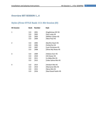#### <span id="page-6-0"></span>**Overview HIT SESSION 1...4**

## <span id="page-6-1"></span>**Styles (Firm-STYLE Bank 113: Hit-Session JD)**

| <b>Hit Session</b> | <b>Bank</b> | <b>Number</b> | <b>Style</b>        |
|--------------------|-------------|---------------|---------------------|
| $\mathbf{1}$       | 113         | 001           | Englishman NY HS    |
|                    | 113         | 002           | Get Lucky HS        |
|                    | 113         | 003           | Million Lichter HS  |
|                    | 113         | 004           | New-Paul HS         |
| $\overline{2}$     | 113         | 005           | Bonfire Heart HS    |
|                    | 113         | 006           | Fehlerfrei HS       |
|                    | 113         | 007           | Last Christmas HS   |
|                    | 113         | 008           | Shine My Shoes HS   |
| 3                  | 113         | 009           | Helene Ever HS      |
|                    | 113         | 010           | Hit Kaiser HS       |
|                    | 113         | 011           | Js Abba Mix HS      |
|                    | 113         | 012           | Udos Sahne Mix HS   |
| 4                  | 113         | 013           | Herbert Mix HS      |
|                    | 113         | 014           | Marianne Mix HS     |
|                    | 113         | 015           | Nena Mix HS         |
|                    | 113         | 016           | Real Good Feelin HS |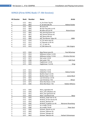## <span id="page-7-0"></span>**SONGS (Firm SONG Bank 17: Hit Session)**

| <b>Hit Session</b> | <b>Bank</b>  | <b>Number</b> | <b>Name</b>              | <b>Artist</b>         |
|--------------------|--------------|---------------|--------------------------|-----------------------|
| 4                  | 117          | 001           | H Für Einen Tag HS       |                       |
| <u>4</u>           | 117          | 002           | H So kann das HS         | <b>Helene Fischer</b> |
| 4                  | 117          | 003           | RK Joana HS              |                       |
| 4                  | 117          | 004           | RK Hier fing alles an HS |                       |
| $\overline{4}$     | 117          | 005           | RK Alles was du HS       | <b>Roland Kaiser</b>  |
| 4                  | 117          | 006           | AB_Dancing Queen HS      |                       |
| 4                  | 117          | 007           | AB Gimme Gimme HS        |                       |
| 4                  | 117          | 008           | AB_Mama Mia HS           |                       |
| 4                  | 117          | 009           | AB The Winner Takes HS   | <b>ABBA</b>           |
| 4                  | 117          | 010           | UJ_Ich weiss was HS      |                       |
| 4                  | 117          | 011           | UJ Niemals in NY HS      |                       |
| 4                  | 117          | 012           | UJ_17 Jahr HS            |                       |
| 4                  | 117          | 013           | UJ Mit Sahne HS          | Udo Jürgens           |
|                    |              |               |                          |                       |
|                    | 117          | 014           | <b>New Penny Lane HS</b> | Paul MCartney         |
| $\mathbf{1}$       | 117          | 015           | Millionen Lichter 1-6 HS |                       |
| $\overline{1}$     | 117          | 016           | Millionen Lichter 7-9 HS | Christina Stürmer     |
| $\mathbf{1}$       | 117          | 017           | Get Lucky 1-6 HS         |                       |
| $\overline{1}$     | 117          | 018           | Get Lucky 7 HS           | Daft Punk             |
| $\mathbf{1}$       | 117          | 019           | Englishman 1-6 HS        |                       |
| 1                  | 117          | 020           | Englishman 7-12 HS       | <b>Sting</b>          |
| 2                  | 117          | 021           | Fehlerfrei 1-6 HS        |                       |
| $\overline{2}$     | 117          | 022           | Fehlerfrei 7-9 HS        | Helene Fischer        |
| $\overline{2}$     | 117          | 023           | Bonfire Heart 1-6 HS     |                       |
| $\overline{2}$     | 117          | 024           | Bonfire Heart 7-9 HS     | James Blunt           |
| $\overline{2}$     | 117          | 025           | Last Christmas 1-6 HS    |                       |
| $\overline{2}$     | 117          | 026           | Last Christmas 7 HS      | Wham                  |
| $\overline{2}$     | 117          | 027           | Shine My Shoes 1-6 HS    |                       |
| $\overline{2}$     | 117          | 028           | Shine My Shoes 7 HS      | Robbie Williams       |
|                    |              |               |                          |                       |
| 3                  | $117$        | 029           | Nena_Irgendwie HS        |                       |
| 3                  | 117          | 030           | Nena_99 Luftballons HS   |                       |
| 3                  | 117          | 031           | Nena Nur geträumt HS     |                       |
| <u>3</u>           | 117          | 032           | Nena Leuchtturm HS       | <b>Nena</b>           |
| 3                  | 117          | 033           | M.Rosb_Lieder der N. HS  |                       |
| 3                  | 117          | 034           | M.Rosb_Ich bin wie du HS |                       |
| 3                  | 117          | 035           | M.Rosb_Marlene HS        |                       |
| 3                  | 117          | 036           | M.Rosb Er gehört zur HS  | Marianne Rosenberg    |
| 3                  | 117          | 037           | Its a really 1-6 HS      |                       |
| $\overline{3}$     | <u>117  </u> | 038           | Its a really 7-8 HS      | Peter Kent            |
| 3                  | 117          | 039           | Grönem_Musik nur HS      |                       |
| 3                  | 117          | 040           | Grönem_Männer HS         |                       |
| 3                  | 117          | 041           | Grönem_Morgen HS         |                       |
| $\overline{3}$     | 117          | 042           | Grönem Mensch HS         | Herbert Grönemeyer    |